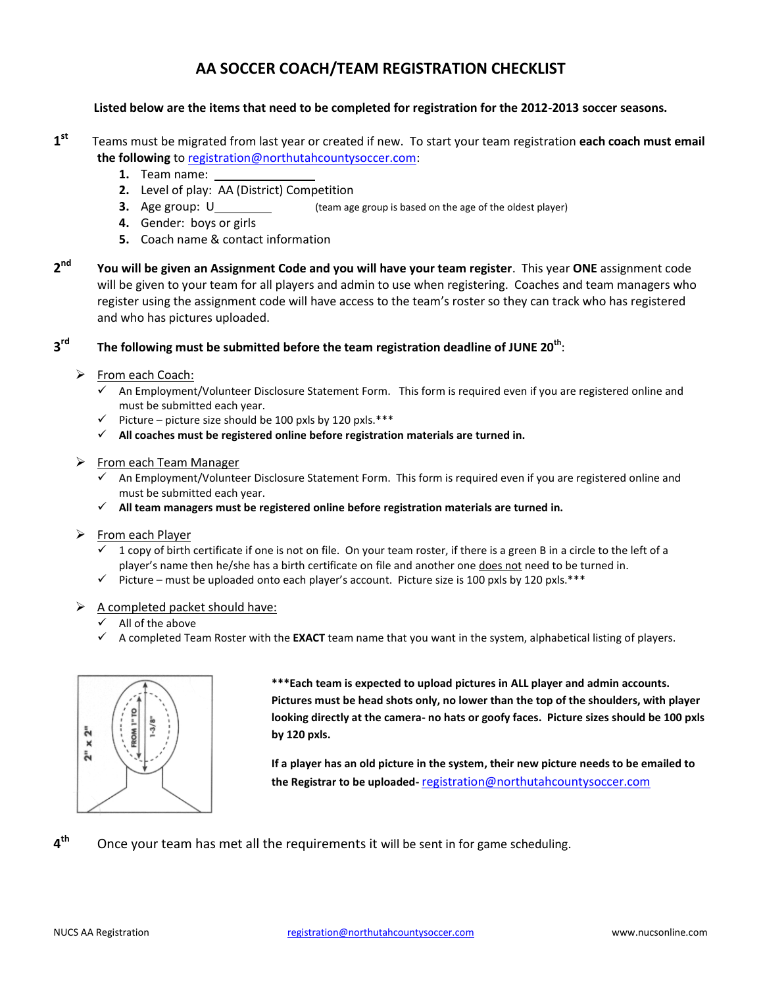# **AA SOCCER COACH/TEAM REGISTRATION CHECKLIST**

### **Listed below are the items that need to be completed for registration for the 2012-2013 soccer seasons.**

- **1st** Teams must be migrated from last year or created if new. To start your team registration **each coach must email the following** to registration@northutahcountysoccer.com:
	- **1.** Team name:
	- **2.** Level of play: AA (District) Competition
	- **3.** Age group: U (team age group is based on the age of the oldest player)
	- **4.** Gender: boys or girls
	- **5.** Coach name & contact information
- **2nd You will be given an Assignment Code and you will have your team register**. This year **ONE** assignment code will be given to your team for all players and admin to use when registering. Coaches and team managers who register using the assignment code will have access to the team's roster so they can track who has registered and who has pictures uploaded.

# **3rd The following must be submitted before the team registration deadline of JUNE 20th** :

- $\triangleright$  From each Coach:
	- An Employment/Volunteer Disclosure Statement Form. This form is required even if you are registered online and must be submitted each year.
	- $\checkmark$  Picture picture size should be 100 pxls by 120 pxls.\*\*\*
	- **All coaches must be registered online before registration materials are turned in.**
- $\triangleright$  From each Team Manager
	- An Employment/Volunteer Disclosure Statement Form. This form is required even if you are registered online and must be submitted each year.
	- **All team managers must be registered online before registration materials are turned in.**
- ▶ From each Player
	- $\checkmark$  1 copy of birth certificate if one is not on file. On your team roster, if there is a green B in a circle to the left of a player's name then he/she has a birth certificate on file and another one does not need to be turned in.
	- $\checkmark$  Picture must be uploaded onto each player's account. Picture size is 100 pxls by 120 pxls.\*\*\*
- $\triangleright$  A completed packet should have:
	- $\checkmark$  All of the above
	- A completed Team Roster with the **EXACT** team name that you want in the system, alphabetical listing of players.



**\*\*\*Each team is expected to upload pictures in ALL player and admin accounts. Pictures must be head shots only, no lower than the top of the shoulders, with player looking directly at the camera- no hats or goofy faces. Picture sizes should be 100 pxls by 120 pxls.** 

**If a player has an old picture in the system, their new picture needs to be emailed to the Registrar to be uploaded-** registration@northutahcountysoccer.com

**4th** Once your team has met all the requirements it will be sent in for game scheduling.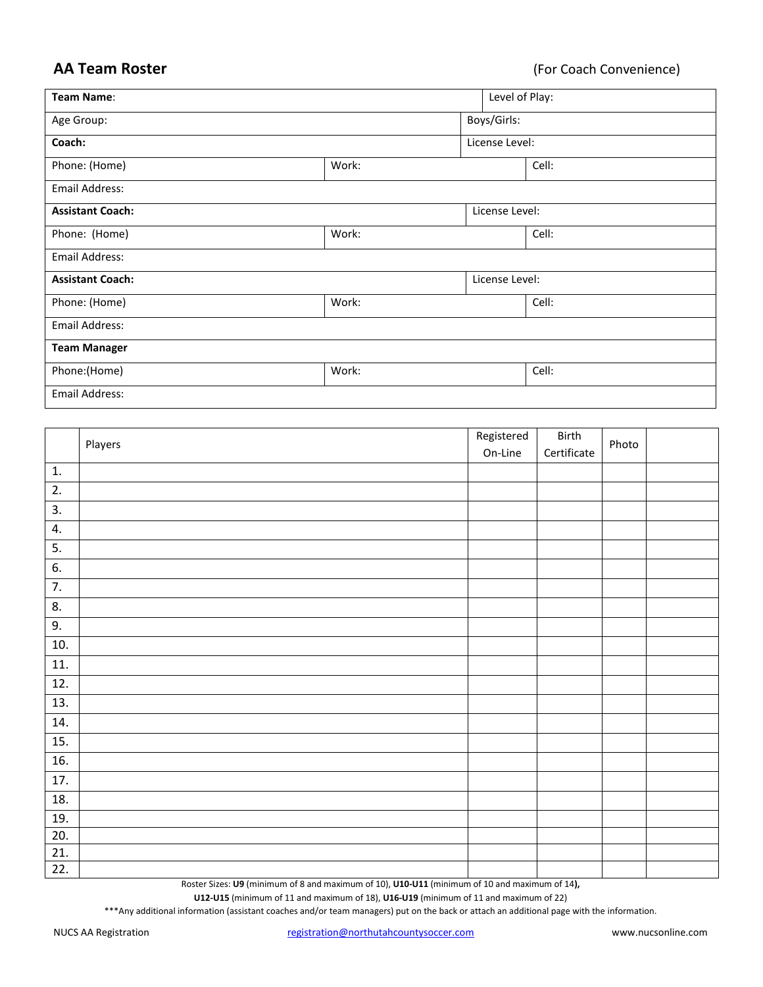**AA Team Roster** (For Coach Convenience)

| Team Name:                |       | Level of Play:                  |  |  |
|---------------------------|-------|---------------------------------|--|--|
| Age Group:                |       | Boys/Girls:                     |  |  |
| Coach:                    |       | License Level:                  |  |  |
| Phone: (Home)             | Work: | Cell:                           |  |  |
| Email Address:            |       |                                 |  |  |
| <b>Assistant Coach:</b>   |       | License Level:                  |  |  |
| Phone: (Home)             | Work: | Cell:                           |  |  |
| Email Address:            |       |                                 |  |  |
| <b>Assistant Coach:</b>   |       | License Level:                  |  |  |
| Phone: (Home)             | Work: | Cell:                           |  |  |
| Email Address:            |       |                                 |  |  |
| <b>Team Manager</b>       |       |                                 |  |  |
| Phone:(Home)              | Work: | Cell:                           |  |  |
| <b>Email Address:</b>     |       |                                 |  |  |
|                           |       |                                 |  |  |
| $\mathbf{D}$ $\mathbf{L}$ |       | Registered<br>Birth<br>D1.1.1.1 |  |  |

|                   | Players | Registered | Birth       | Photo |  |
|-------------------|---------|------------|-------------|-------|--|
|                   |         | On-Line    | Certificate |       |  |
| 1.                |         |            |             |       |  |
| 2.                |         |            |             |       |  |
| 3.                |         |            |             |       |  |
| 4.                |         |            |             |       |  |
| 5.                |         |            |             |       |  |
| 6.                |         |            |             |       |  |
| $\overline{7}$ .  |         |            |             |       |  |
| 8.                |         |            |             |       |  |
| 9.                |         |            |             |       |  |
| 10.               |         |            |             |       |  |
| 11.               |         |            |             |       |  |
| 12.               |         |            |             |       |  |
| 13.               |         |            |             |       |  |
| 14.               |         |            |             |       |  |
| 15.               |         |            |             |       |  |
| 16.               |         |            |             |       |  |
| 17.               |         |            |             |       |  |
| 18.               |         |            |             |       |  |
| 19.               |         |            |             |       |  |
| 20.               |         |            |             |       |  |
| $\overline{21}$ . |         |            |             |       |  |
| 22.               |         |            |             |       |  |

Roster Sizes: **U9** (minimum of 8 and maximum of 10), **U10-U11** (minimum of 10 and maximum of 14**),** 

**U12-U15** (minimum of 11 and maximum of 18), **U16-U19** (minimum of 11 and maximum of 22)

\*\*\*Any additional information (assistant coaches and/or team managers) put on the back or attach an additional page with the information.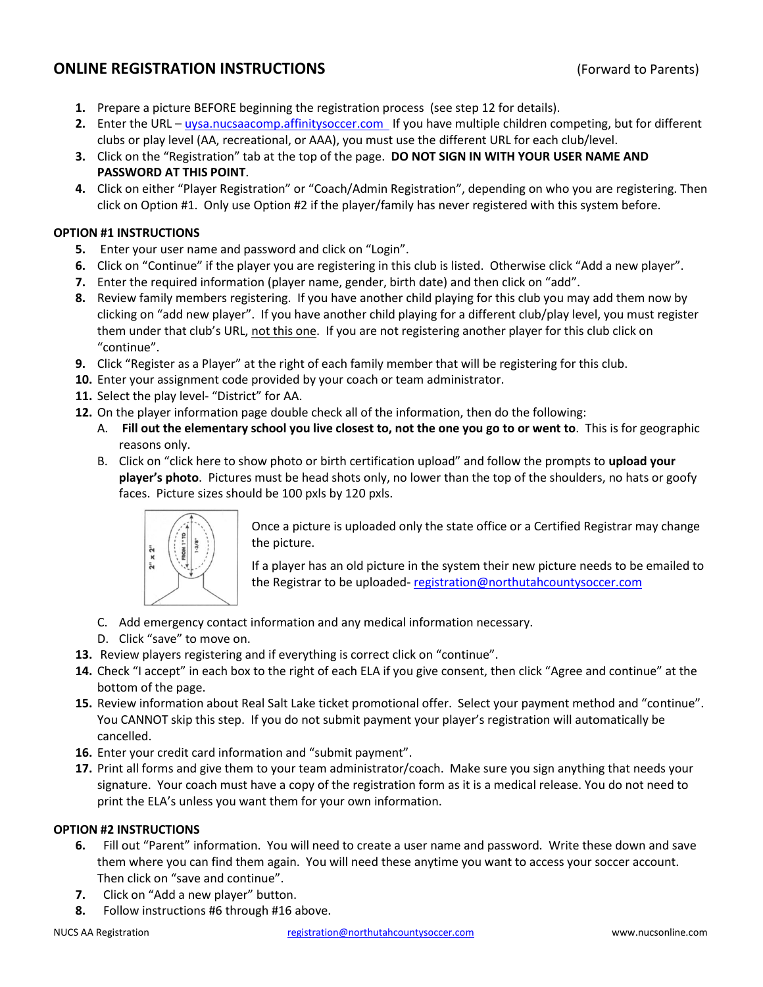# **ONLINE REGISTRATION INSTRUCTIONS** (Forward to Parents)

- **1.** Prepare a picture BEFORE beginning the registration process (see step 12 for details).
- 2. Enter the URL uysa.nucsaacomp.affinitysoccer.com If you have multiple children competing, but for different clubs or play level (AA, recreational, or AAA), you must use the different URL for each club/level.
- **3.** Click on the "Registration" tab at the top of the page. **DO NOT SIGN IN WITH YOUR USER NAME AND PASSWORD AT THIS POINT**.
- **4.** Click on either "Player Registration" or "Coach/Admin Registration", depending on who you are registering. Then click on Option #1. Only use Option #2 if the player/family has never registered with this system before.

### **OPTION #1 INSTRUCTIONS**

- **5.** Enter your user name and password and click on "Login".
- **6.** Click on "Continue" if the player you are registering in this club is listed. Otherwise click "Add a new player".
- **7.** Enter the required information (player name, gender, birth date) and then click on "add".
- **8.** Review family members registering. If you have another child playing for this club you may add them now by clicking on "add new player". If you have another child playing for a different club/play level, you must register them under that club's URL, not this one. If you are not registering another player for this club click on "continue".
- **9.** Click "Register as a Player" at the right of each family member that will be registering for this club.
- **10.** Enter your assignment code provided by your coach or team administrator.
- **11.** Select the play level- "District" for AA.
- **12.** On the player information page double check all of the information, then do the following:
	- A. **Fill out the elementary school you live closest to, not the one you go to or went to**. This is for geographic reasons only.
	- B. Click on "click here to show photo or birth certification upload" and follow the prompts to **upload your player's photo**. Pictures must be head shots only, no lower than the top of the shoulders, no hats or goofy faces. Picture sizes should be 100 pxls by 120 pxls.



Once a picture is uploaded only the state office or a Certified Registrar may change the picture.

If a player has an old picture in the system their new picture needs to be emailed to the Registrar to be uploaded- registration@northutahcountysoccer.com

- C. Add emergency contact information and any medical information necessary.
- D. Click "save" to move on.
- **13.** Review players registering and if everything is correct click on "continue".
- **14.** Check "I accept" in each box to the right of each ELA if you give consent, then click "Agree and continue" at the bottom of the page.
- **15.** Review information about Real Salt Lake ticket promotional offer. Select your payment method and "continue". You CANNOT skip this step. If you do not submit payment your player's registration will automatically be cancelled.
- **16.** Enter your credit card information and "submit payment".
- **17.** Print all forms and give them to your team administrator/coach. Make sure you sign anything that needs your signature. Your coach must have a copy of the registration form as it is a medical release. You do not need to print the ELA's unless you want them for your own information.

### **OPTION #2 INSTRUCTIONS**

- **6.** Fill out "Parent" information. You will need to create a user name and password. Write these down and save them where you can find them again. You will need these anytime you want to access your soccer account. Then click on "save and continue".
- **7.** Click on "Add a new player" button.
- **8.** Follow instructions #6 through #16 above.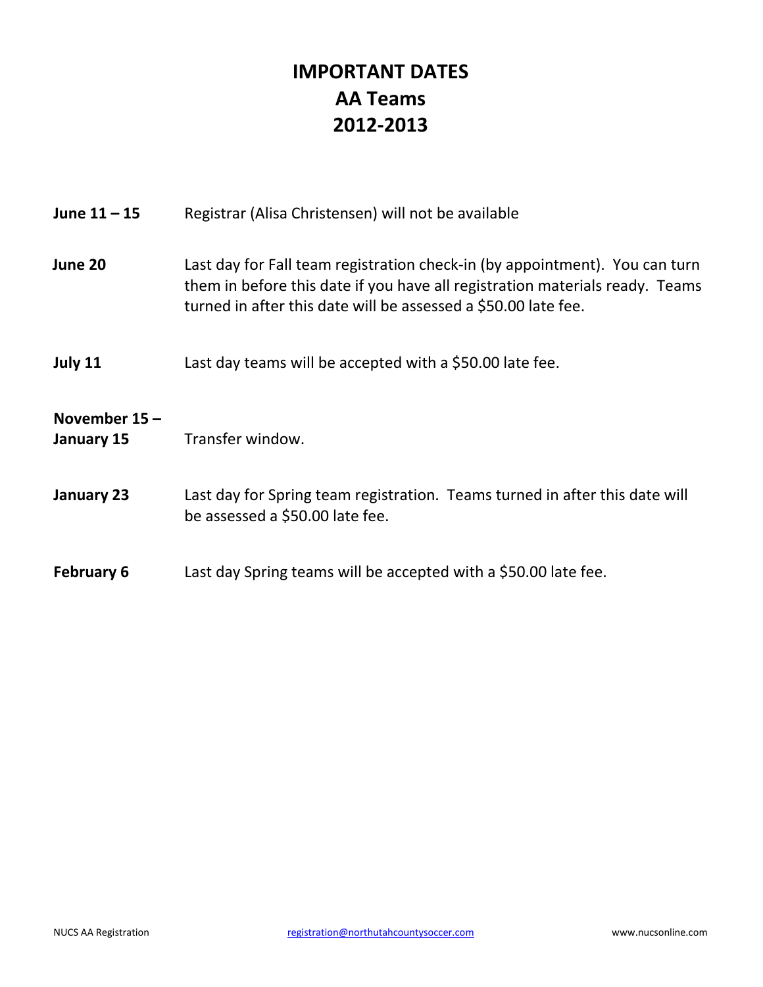# **IMPORTANT DATES AA Teams 2012-2013**

| June $11 - 15$             | Registrar (Alisa Christensen) will not be available                                                                                                                                                                           |
|----------------------------|-------------------------------------------------------------------------------------------------------------------------------------------------------------------------------------------------------------------------------|
| June 20                    | Last day for Fall team registration check-in (by appointment). You can turn<br>them in before this date if you have all registration materials ready. Teams<br>turned in after this date will be assessed a \$50.00 late fee. |
| July 11                    | Last day teams will be accepted with a \$50.00 late fee.                                                                                                                                                                      |
| November 15-<br>January 15 | Transfer window.                                                                                                                                                                                                              |
| January 23                 | Last day for Spring team registration. Teams turned in after this date will<br>be assessed a \$50.00 late fee.                                                                                                                |
| <b>February 6</b>          | Last day Spring teams will be accepted with a \$50.00 late fee.                                                                                                                                                               |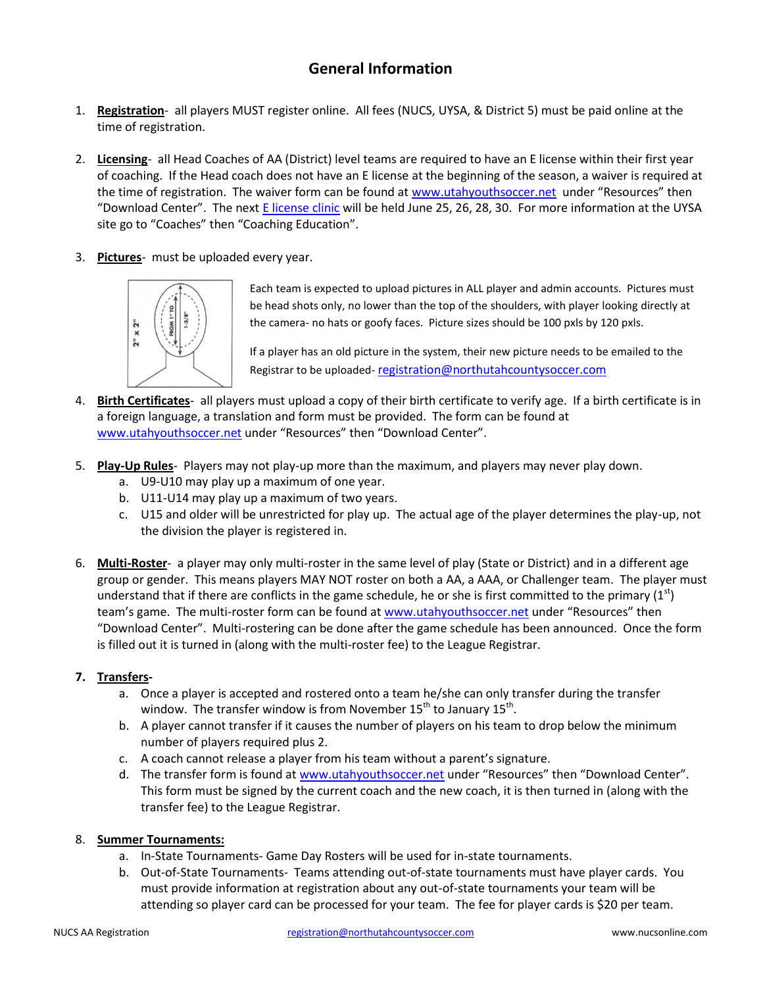# **General Information**

- 1. **Registration** all players MUST register online. All fees (NUCS, UYSA, & District 5) must be paid online at the time of registration.
- 2. **Licensing** all Head Coaches of AA (District) level teams are required to have an E license within their first year of coaching. If the Head coach does not have an E license at the beginning of the season, a waiver is required at the time of registration. The waiver form can be found at www.utahyouthsoccer.net under "Resources" then "Download Center". The next E license clinic will be held June 25, 26, 28, 30. For more information at the UYSA site go to "Coaches" then "Coaching Education".
- 3. **Pictures** must be uploaded every year.



Each team is expected to upload pictures in ALL player and admin accounts. Pictures must be head shots only, no lower than the top of the shoulders, with player looking directly at the camera- no hats or goofy faces. Picture sizes should be 100 pxls by 120 pxls.

If a player has an old picture in the system, their new picture needs to be emailed to the Registrar to be uploaded- registration@northutahcountysoccer.com

- 4. **Birth Certificates** all players must upload a copy of their birth certificate to verify age. If a birth certificate is in a foreign language, a translation and form must be provided. The form can be found at www.utahyouthsoccer.net under "Resources" then "Download Center".
- 5. **Play-Up Rules** Players may not play-up more than the maximum, and players may never play down.
	- a. U9-U10 may play up a maximum of one year.
	- b. U11-U14 may play up a maximum of two years.
	- c. U15 and older will be unrestricted for play up. The actual age of the player determines the play-up, not the division the player is registered in.
- 6. **Multi-Roster** a player may only multi-roster in the same level of play (State or District) and in a different age group or gender. This means players MAY NOT roster on both a AA, a AAA, or Challenger team. The player must understand that if there are conflicts in the game schedule, he or she is first committed to the primary  $(1^{st})$ team's game. The multi-roster form can be found at www.utahyouthsoccer.net under "Resources" then "Download Center". Multi-rostering can be done after the game schedule has been announced. Once the form is filled out it is turned in (along with the multi-roster fee) to the League Registrar.

### **7. Transfers-**

- a. Once a player is accepted and rostered onto a team he/she can only transfer during the transfer window. The transfer window is from November  $15<sup>th</sup>$  to January  $15<sup>th</sup>$ .
- b. A player cannot transfer if it causes the number of players on his team to drop below the minimum number of players required plus 2.
- c. A coach cannot release a player from his team without a parent's signature.
- d. The transfer form is found at www.utahyouthsoccer.net under "Resources" then "Download Center". This form must be signed by the current coach and the new coach, it is then turned in (along with the transfer fee) to the League Registrar.
- 8. **Summer Tournaments:**
	- a. In-State Tournaments- Game Day Rosters will be used for in-state tournaments.
	- b. Out-of-State Tournaments- Teams attending out-of-state tournaments must have player cards. You must provide information at registration about any out-of-state tournaments your team will be attending so player card can be processed for your team. The fee for player cards is \$20 per team.